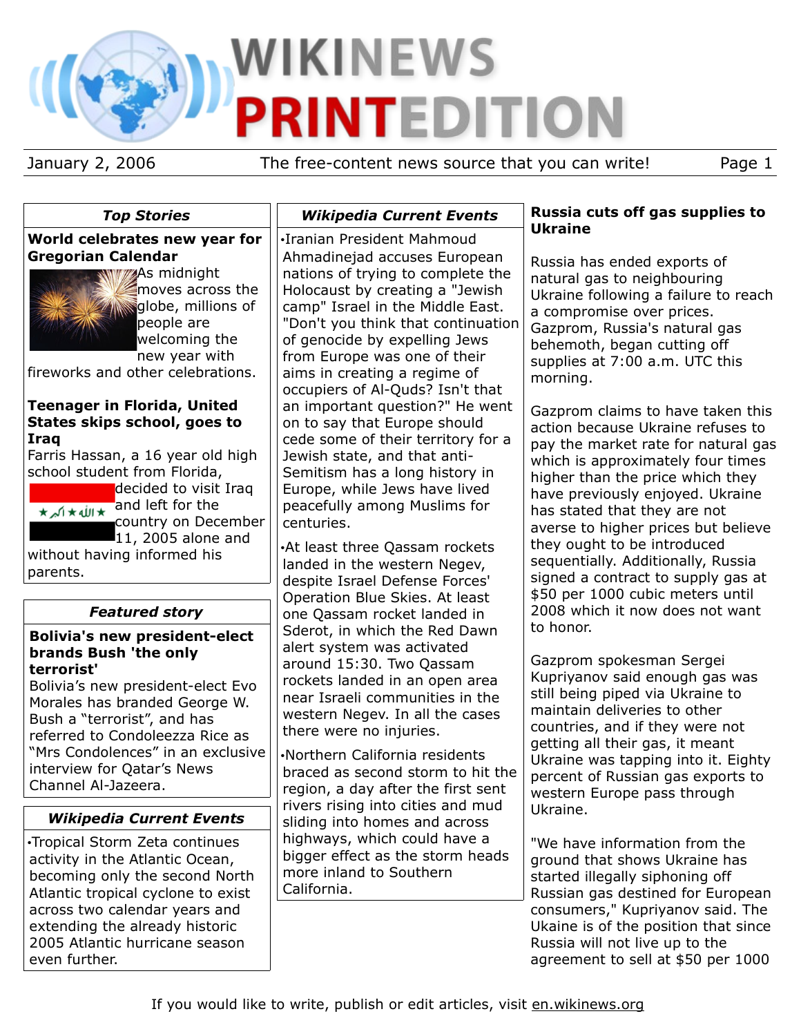# WIKINEWS **PRINTEDITION**

January 2, 2006 The free-content news source that you can write! Page 1

## *Top Stories*

#### **World celebrates new year for Gregorian Calendar**



**WWAS** midnight moves across the **Willions** of people are welcoming the new year with

fireworks and other celebrations.

#### **Teenager in Florida, United States skips school, goes to Iraq**

Farris Hassan, a 16 year old high school student from Florida,

decided to visit Iraq and left for the country on December

**11, 2005 alone and** without having informed his parents.

## *Featured story*

#### **Bolivia's new president-elect brands Bush 'the only terrorist'**

Bolivia's new president-elect Evo Morales has branded George W. Bush a "terrorist", and has referred to Condoleezza Rice as "Mrs Condolences" in an exclusive interview for Qatar's News Channel Al-Jazeera.

## *Wikipedia Current Events*

•Tropical Storm Zeta continues activity in the Atlantic Ocean, becoming only the second North Atlantic tropical cyclone to exist across two calendar years and extending the already historic 2005 Atlantic hurricane season even further.

•Iranian President Mahmoud Ahmadinejad accuses European nations of trying to complete the Holocaust by creating a "Jewish camp" Israel in the Middle East. "Don't you think that continuation of genocide by expelling Jews from Europe was one of their aims in creating a regime of occupiers of Al-Quds? Isn't that an important question?" He went on to say that Europe should cede some of their territory for a Jewish state, and that anti-Semitism has a long history in Europe, while Jews have lived peacefully among Muslims for centuries.

*Wikipedia Current Events*

•At least three Qassam rockets landed in the western Negev, despite Israel Defense Forces' Operation Blue Skies. At least one Qassam rocket landed in Sderot, in which the Red Dawn alert system was activated around 15:30. Two Qassam rockets landed in an open area near Israeli communities in the western Negev. In all the cases there were no injuries.

•Northern California residents braced as second storm to hit the region, a day after the first sent rivers rising into cities and mud sliding into homes and across highways, which could have a bigger effect as the storm heads more inland to Southern California.

#### **Russia cuts off gas supplies to Ukraine**

Russia has ended exports of natural gas to neighbouring Ukraine following a failure to reach a compromise over prices. Gazprom, Russia's natural gas behemoth, began cutting off supplies at 7:00 a.m. UTC this morning.

Gazprom claims to have taken this action because Ukraine refuses to pay the market rate for natural gas which is approximately four times higher than the price which they have previously enjoyed. Ukraine has stated that they are not averse to higher prices but believe they ought to be introduced sequentially. Additionally, Russia signed a contract to supply gas at \$50 per 1000 cubic meters until 2008 which it now does not want to honor.

Gazprom spokesman Sergei Kupriyanov said enough gas was still being piped via Ukraine to maintain deliveries to other countries, and if they were not getting all their gas, it meant Ukraine was tapping into it. Eighty percent of Russian gas exports to western Europe pass through Ukraine.

"We have information from the ground that shows Ukraine has started illegally siphoning off Russian gas destined for European consumers," Kupriyanov said. The Ukaine is of the position that since Russia will not live up to the agreement to sell at \$50 per 1000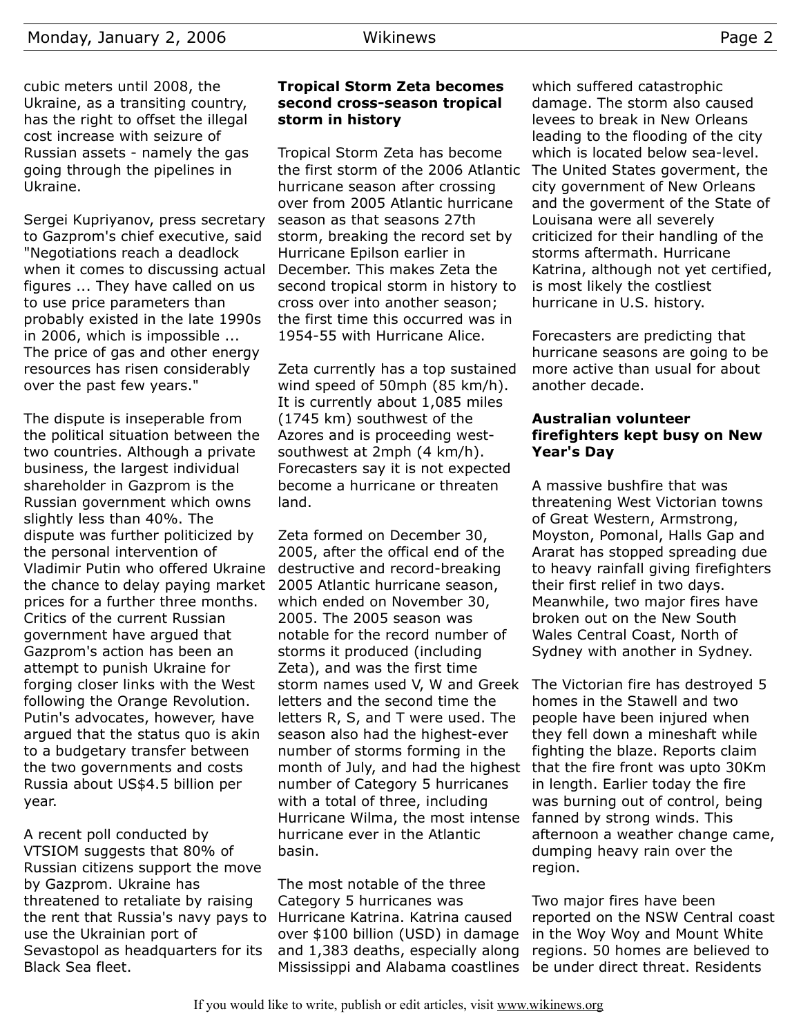cubic meters until 2008, the Ukraine, as a transiting country, has the right to offset the illegal cost increase with seizure of Russian assets - namely the gas going through the pipelines in Ukraine.

Sergei Kupriyanov, press secretary to Gazprom's chief executive, said "Negotiations reach a deadlock when it comes to discussing actual figures ... They have called on us to use price parameters than probably existed in the late 1990s in 2006, which is impossible ... The price of gas and other energy resources has risen considerably over the past few years."

The dispute is inseperable from the political situation between the two countries. Although a private business, the largest individual shareholder in Gazprom is the Russian government which owns slightly less than 40%. The dispute was further politicized by the personal intervention of Vladimir Putin who offered Ukraine the chance to delay paying market prices for a further three months. Critics of the current Russian government have argued that Gazprom's action has been an attempt to punish Ukraine for forging closer links with the West following the Orange Revolution. Putin's advocates, however, have argued that the status quo is akin to a budgetary transfer between the two governments and costs Russia about US\$4.5 billion per year.

A recent poll conducted by VTSIOM suggests that 80% of Russian citizens support the move by Gazprom. Ukraine has threatened to retaliate by raising the rent that Russia's navy pays to Hurricane Katrina. Katrina caused use the Ukrainian port of Sevastopol as headquarters for its Black Sea fleet.

#### **Tropical Storm Zeta becomes second cross-season tropical storm in history**

Tropical Storm Zeta has become the first storm of the 2006 Atlantic hurricane season after crossing over from 2005 Atlantic hurricane season as that seasons 27th storm, breaking the record set by Hurricane Epilson earlier in December. This makes Zeta the second tropical storm in history to cross over into another season; the first time this occurred was in 1954-55 with Hurricane Alice.

Zeta currently has a top sustained wind speed of 50mph (85 km/h). It is currently about 1,085 miles (1745 km) southwest of the Azores and is proceeding westsouthwest at 2mph (4 km/h). Forecasters say it is not expected become a hurricane or threaten land.

Zeta formed on December 30, 2005, after the offical end of the destructive and record-breaking 2005 Atlantic hurricane season, which ended on November 30, 2005. The 2005 season was notable for the record number of storms it produced (including Zeta), and was the first time storm names used V, W and Greek letters and the second time the letters R, S, and T were used. The season also had the highest-ever number of storms forming in the month of July, and had the highest number of Category 5 hurricanes with a total of three, including Hurricane Wilma, the most intense hurricane ever in the Atlantic basin.

The most notable of the three Category 5 hurricanes was over \$100 billion (USD) in damage and 1,383 deaths, especially along Mississippi and Alabama coastlines

which suffered catastrophic damage. The storm also caused levees to break in New Orleans leading to the flooding of the city which is located below sea-level. The United States goverment, the city government of New Orleans and the goverment of the State of Louisana were all severely criticized for their handling of the storms aftermath. Hurricane Katrina, although not yet certified, is most likely the costliest hurricane in U.S. history.

Forecasters are predicting that hurricane seasons are going to be more active than usual for about another decade.

#### **Australian volunteer firefighters kept busy on New Year's Day**

A massive bushfire that was threatening West Victorian towns of Great Western, Armstrong, Moyston, Pomonal, Halls Gap and Ararat has stopped spreading due to heavy rainfall giving firefighters their first relief in two days. Meanwhile, two major fires have broken out on the New South Wales Central Coast, North of Sydney with another in Sydney.

The Victorian fire has destroyed 5 homes in the Stawell and two people have been injured when they fell down a mineshaft while fighting the blaze. Reports claim that the fire front was upto 30Km in length. Earlier today the fire was burning out of control, being fanned by strong winds. This afternoon a weather change came, dumping heavy rain over the region.

Two major fires have been reported on the NSW Central coast in the Woy Woy and Mount White regions. 50 homes are believed to be under direct threat. Residents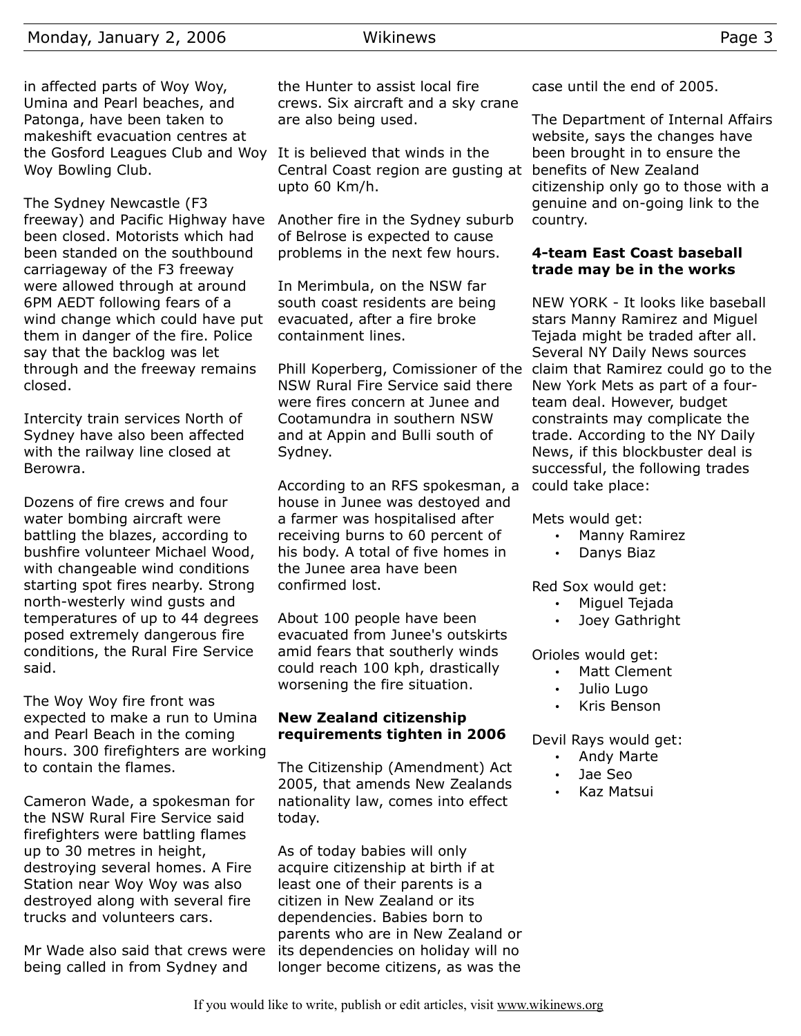in affected parts of Woy Woy, Umina and Pearl beaches, and Patonga, have been taken to makeshift evacuation centres at the Gosford Leagues Club and Woy It is believed that winds in the Woy Bowling Club.

The Sydney Newcastle (F3 freeway) and Pacific Highway have been closed. Motorists which had been standed on the southbound carriageway of the F3 freeway were allowed through at around 6PM AEDT following fears of a wind change which could have put them in danger of the fire. Police say that the backlog was let through and the freeway remains closed.

Intercity train services North of Sydney have also been affected with the railway line closed at Berowra.

Dozens of fire crews and four water bombing aircraft were battling the blazes, according to bushfire volunteer Michael Wood, with changeable wind conditions starting spot fires nearby. Strong north-westerly wind gusts and temperatures of up to 44 degrees posed extremely dangerous fire conditions, the Rural Fire Service said.

The Woy Woy fire front was expected to make a run to Umina and Pearl Beach in the coming hours. 300 firefighters are working to contain the flames.

Cameron Wade, a spokesman for the NSW Rural Fire Service said firefighters were battling flames up to 30 metres in height, destroying several homes. A Fire Station near Woy Woy was also destroyed along with several fire trucks and volunteers cars.

Mr Wade also said that crews were being called in from Sydney and

the Hunter to assist local fire crews. Six aircraft and a sky crane are also being used.

Central Coast region are gusting at benefits of New Zealand upto 60 Km/h.

Another fire in the Sydney suburb of Belrose is expected to cause problems in the next few hours.

In Merimbula, on the NSW far south coast residents are being evacuated, after a fire broke containment lines.

Phill Koperberg, Comissioner of the claim that Ramirez could go to the NSW Rural Fire Service said there were fires concern at Junee and Cootamundra in southern NSW and at Appin and Bulli south of Sydney.

According to an RFS spokesman, a house in Junee was destoyed and a farmer was hospitalised after receiving burns to 60 percent of his body. A total of five homes in the Junee area have been confirmed lost.

About 100 people have been evacuated from Junee's outskirts amid fears that southerly winds could reach 100 kph, drastically worsening the fire situation.

#### **New Zealand citizenship requirements tighten in 2006**

The Citizenship (Amendment) Act 2005, that amends New Zealands nationality law, comes into effect today.

As of today babies will only acquire citizenship at birth if at least one of their parents is a citizen in New Zealand or its dependencies. Babies born to parents who are in New Zealand or its dependencies on holiday will no longer become citizens, as was the

case until the end of 2005.

The Department of Internal Affairs website, says the changes have been brought in to ensure the citizenship only go to those with a genuine and on-going link to the country.

#### **4-team East Coast baseball trade may be in the works**

NEW YORK - It looks like baseball stars Manny Ramirez and Miguel Tejada might be traded after all. Several NY Daily News sources New York Mets as part of a fourteam deal. However, budget constraints may complicate the trade. According to the NY Daily News, if this blockbuster deal is successful, the following trades could take place:

Mets would get:

- Manny Ramirez
- Danys Biaz

Red Sox would get:

- Miguel Tejada
- Joey Gathright

Orioles would get:

- Matt Clement
- Julio Lugo
- Kris Benson

Devil Rays would get:

- Andy Marte
- Jae Seo
- Kaz Matsui